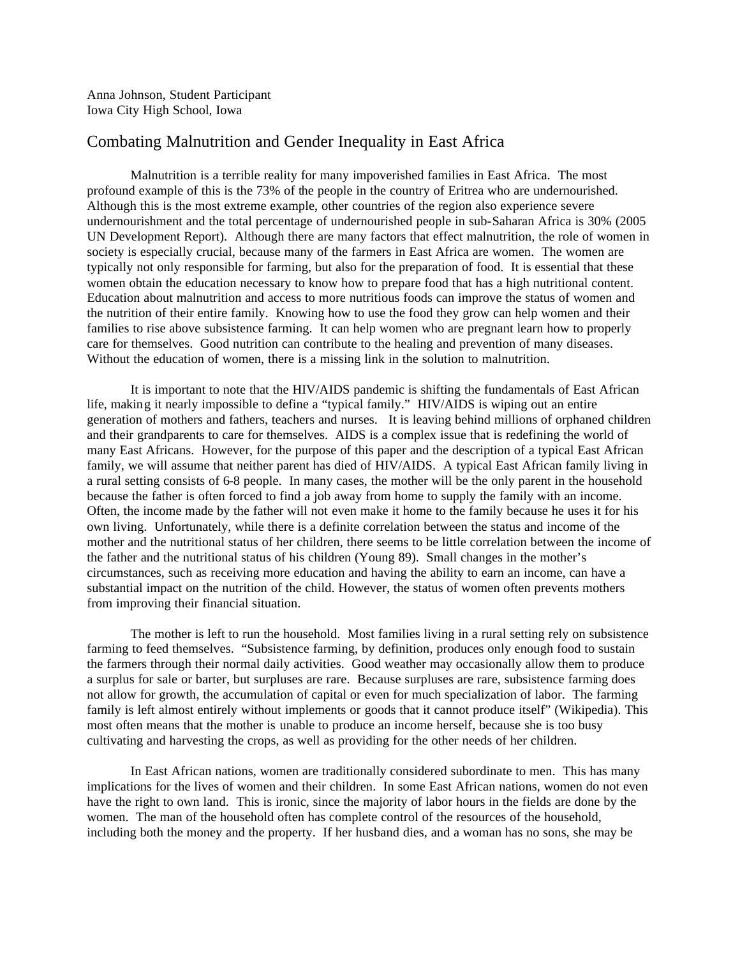Anna Johnson, Student Participant Iowa City High School, Iowa

## Combating Malnutrition and Gender Inequality in East Africa

Malnutrition is a terrible reality for many impoverished families in East Africa. The most profound example of this is the 73% of the people in the country of Eritrea who are undernourished. Although this is the most extreme example, other countries of the region also experience severe undernourishment and the total percentage of undernourished people in sub-Saharan Africa is 30% (2005 UN Development Report). Although there are many factors that effect malnutrition, the role of women in society is especially crucial, because many of the farmers in East Africa are women. The women are typically not only responsible for farming, but also for the preparation of food. It is essential that these women obtain the education necessary to know how to prepare food that has a high nutritional content. Education about malnutrition and access to more nutritious foods can improve the status of women and the nutrition of their entire family. Knowing how to use the food they grow can help women and their families to rise above subsistence farming. It can help women who are pregnant learn how to properly care for themselves. Good nutrition can contribute to the healing and prevention of many diseases. Without the education of women, there is a missing link in the solution to malnutrition.

It is important to note that the HIV/AIDS pandemic is shifting the fundamentals of East African life, making it nearly impossible to define a "typical family." HIV/AIDS is wiping out an entire generation of mothers and fathers, teachers and nurses. It is leaving behind millions of orphaned children and their grandparents to care for themselves. AIDS is a complex issue that is redefining the world of many East Africans. However, for the purpose of this paper and the description of a typical East African family, we will assume that neither parent has died of HIV/AIDS. A typical East African family living in a rural setting consists of 6-8 people. In many cases, the mother will be the only parent in the household because the father is often forced to find a job away from home to supply the family with an income. Often, the income made by the father will not even make it home to the family because he uses it for his own living. Unfortunately, while there is a definite correlation between the status and income of the mother and the nutritional status of her children, there seems to be little correlation between the income of the father and the nutritional status of his children (Young 89). Small changes in the mother's circumstances, such as receiving more education and having the ability to earn an income, can have a substantial impact on the nutrition of the child. However, the status of women often prevents mothers from improving their financial situation.

The mother is left to run the household. Most families living in a rural setting rely on subsistence farming to feed themselves. "Subsistence farming, by definition, produces only enough food to sustain the farmers through their normal daily activities. Good weather may occasionally allow them to produce a surplus for sale or barter, but surpluses are rare. Because surpluses are rare, subsistence farming does not allow for growth, the accumulation of capital or even for much specialization of labor. The farming family is left almost entirely without implements or goods that it cannot produce itself" (Wikipedia). This most often means that the mother is unable to produce an income herself, because she is too busy cultivating and harvesting the crops, as well as providing for the other needs of her children.

In East African nations, women are traditionally considered subordinate to men. This has many implications for the lives of women and their children. In some East African nations, women do not even have the right to own land. This is ironic, since the majority of labor hours in the fields are done by the women. The man of the household often has complete control of the resources of the household, including both the money and the property. If her husband dies, and a woman has no sons, she may be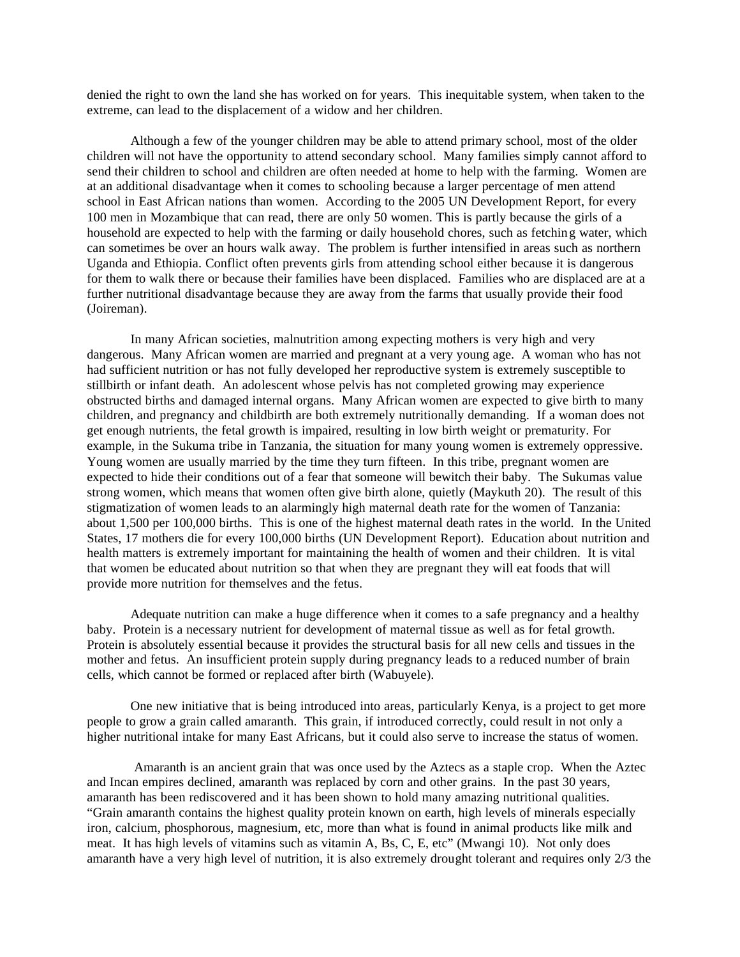denied the right to own the land she has worked on for years. This inequitable system, when taken to the extreme, can lead to the displacement of a widow and her children.

Although a few of the younger children may be able to attend primary school, most of the older children will not have the opportunity to attend secondary school. Many families simply cannot afford to send their children to school and children are often needed at home to help with the farming. Women are at an additional disadvantage when it comes to schooling because a larger percentage of men attend school in East African nations than women. According to the 2005 UN Development Report, for every 100 men in Mozambique that can read, there are only 50 women. This is partly because the girls of a household are expected to help with the farming or daily household chores, such as fetching water, which can sometimes be over an hours walk away. The problem is further intensified in areas such as northern Uganda and Ethiopia. Conflict often prevents girls from attending school either because it is dangerous for them to walk there or because their families have been displaced. Families who are displaced are at a further nutritional disadvantage because they are away from the farms that usually provide their food (Joireman).

In many African societies, malnutrition among expecting mothers is very high and very dangerous. Many African women are married and pregnant at a very young age. A woman who has not had sufficient nutrition or has not fully developed her reproductive system is extremely susceptible to stillbirth or infant death. An adolescent whose pelvis has not completed growing may experience obstructed births and damaged internal organs. Many African women are expected to give birth to many children, and pregnancy and childbirth are both extremely nutritionally demanding. If a woman does not get enough nutrients, the fetal growth is impaired, resulting in low birth weight or prematurity. For example, in the Sukuma tribe in Tanzania, the situation for many young women is extremely oppressive. Young women are usually married by the time they turn fifteen. In this tribe, pregnant women are expected to hide their conditions out of a fear that someone will bewitch their baby. The Sukumas value strong women, which means that women often give birth alone, quietly (Maykuth 20). The result of this stigmatization of women leads to an alarmingly high maternal death rate for the women of Tanzania: about 1,500 per 100,000 births. This is one of the highest maternal death rates in the world. In the United States, 17 mothers die for every 100,000 births (UN Development Report). Education about nutrition and health matters is extremely important for maintaining the health of women and their children. It is vital that women be educated about nutrition so that when they are pregnant they will eat foods that will provide more nutrition for themselves and the fetus.

Adequate nutrition can make a huge difference when it comes to a safe pregnancy and a healthy baby. Protein is a necessary nutrient for development of maternal tissue as well as for fetal growth. Protein is absolutely essential because it provides the structural basis for all new cells and tissues in the mother and fetus. An insufficient protein supply during pregnancy leads to a reduced number of brain cells, which cannot be formed or replaced after birth (Wabuyele).

One new initiative that is being introduced into areas, particularly Kenya, is a project to get more people to grow a grain called amaranth. This grain, if introduced correctly, could result in not only a higher nutritional intake for many East Africans, but it could also serve to increase the status of women.

 Amaranth is an ancient grain that was once used by the Aztecs as a staple crop. When the Aztec and Incan empires declined, amaranth was replaced by corn and other grains. In the past 30 years, amaranth has been rediscovered and it has been shown to hold many amazing nutritional qualities. "Grain amaranth contains the highest quality protein known on earth, high levels of minerals especially iron, calcium, phosphorous, magnesium, etc, more than what is found in animal products like milk and meat. It has high levels of vitamins such as vitamin A, Bs, C, E, etc" (Mwangi 10). Not only does amaranth have a very high level of nutrition, it is also extremely drought tolerant and requires only 2/3 the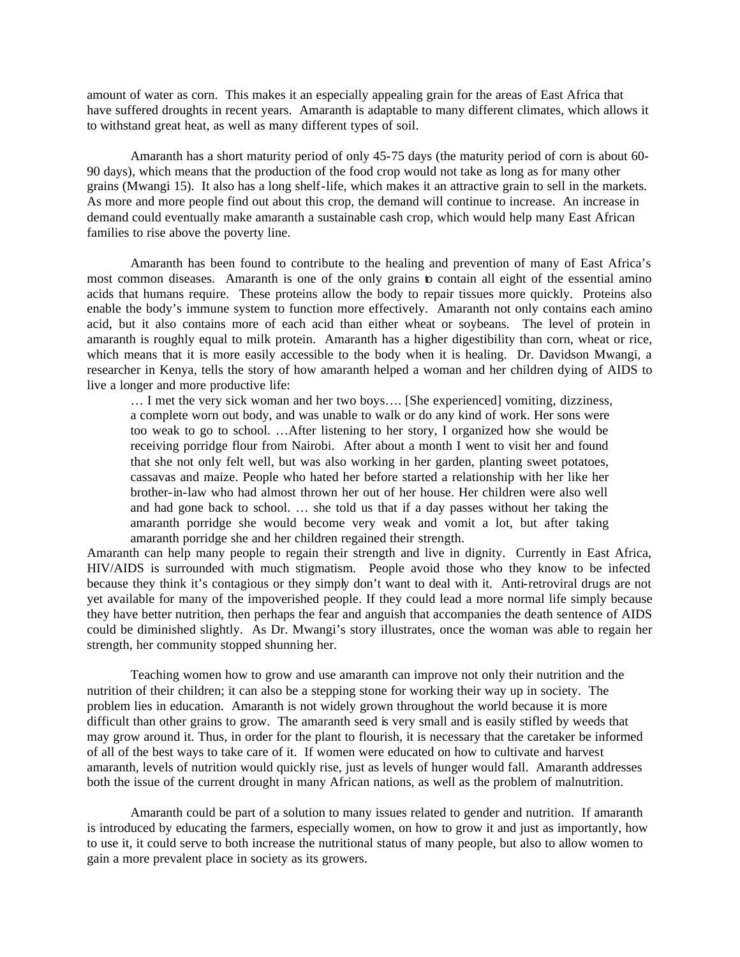amount of water as corn. This makes it an especially appealing grain for the areas of East Africa that have suffered droughts in recent years. Amaranth is adaptable to many different climates, which allows it to withstand great heat, as well as many different types of soil.

Amaranth has a short maturity period of only 45-75 days (the maturity period of corn is about 60- 90 days), which means that the production of the food crop would not take as long as for many other grains (Mwangi 15). It also has a long shelf-life, which makes it an attractive grain to sell in the markets. As more and more people find out about this crop, the demand will continue to increase. An increase in demand could eventually make amaranth a sustainable cash crop, which would help many East African families to rise above the poverty line.

Amaranth has been found to contribute to the healing and prevention of many of East Africa's most common diseases. Amaranth is one of the only grains to contain all eight of the essential amino acids that humans require. These proteins allow the body to repair tissues more quickly. Proteins also enable the body's immune system to function more effectively. Amaranth not only contains each amino acid, but it also contains more of each acid than either wheat or soybeans. The level of protein in amaranth is roughly equal to milk protein. Amaranth has a higher digestibility than corn, wheat or rice, which means that it is more easily accessible to the body when it is healing. Dr. Davidson Mwangi, a researcher in Kenya, tells the story of how amaranth helped a woman and her children dying of AIDS to live a longer and more productive life:

… I met the very sick woman and her two boys…. [She experienced] vomiting, dizziness, a complete worn out body, and was unable to walk or do any kind of work. Her sons were too weak to go to school. …After listening to her story, I organized how she would be receiving porridge flour from Nairobi. After about a month I went to visit her and found that she not only felt well, but was also working in her garden, planting sweet potatoes, cassavas and maize. People who hated her before started a relationship with her like her brother-in-law who had almost thrown her out of her house. Her children were also well and had gone back to school. … she told us that if a day passes without her taking the amaranth porridge she would become very weak and vomit a lot, but after taking amaranth porridge she and her children regained their strength.

Amaranth can help many people to regain their strength and live in dignity. Currently in East Africa, HIV/AIDS is surrounded with much stigmatism. People avoid those who they know to be infected because they think it's contagious or they simply don't want to deal with it. Anti-retroviral drugs are not yet available for many of the impoverished people. If they could lead a more normal life simply because they have better nutrition, then perhaps the fear and anguish that accompanies the death sentence of AIDS could be diminished slightly. As Dr. Mwangi's story illustrates, once the woman was able to regain her strength, her community stopped shunning her.

Teaching women how to grow and use amaranth can improve not only their nutrition and the nutrition of their children; it can also be a stepping stone for working their way up in society. The problem lies in education. Amaranth is not widely grown throughout the world because it is more difficult than other grains to grow. The amaranth seed is very small and is easily stifled by weeds that may grow around it. Thus, in order for the plant to flourish, it is necessary that the caretaker be informed of all of the best ways to take care of it. If women were educated on how to cultivate and harvest amaranth, levels of nutrition would quickly rise, just as levels of hunger would fall. Amaranth addresses both the issue of the current drought in many African nations, as well as the problem of malnutrition.

Amaranth could be part of a solution to many issues related to gender and nutrition. If amaranth is introduced by educating the farmers, especially women, on how to grow it and just as importantly, how to use it, it could serve to both increase the nutritional status of many people, but also to allow women to gain a more prevalent place in society as its growers.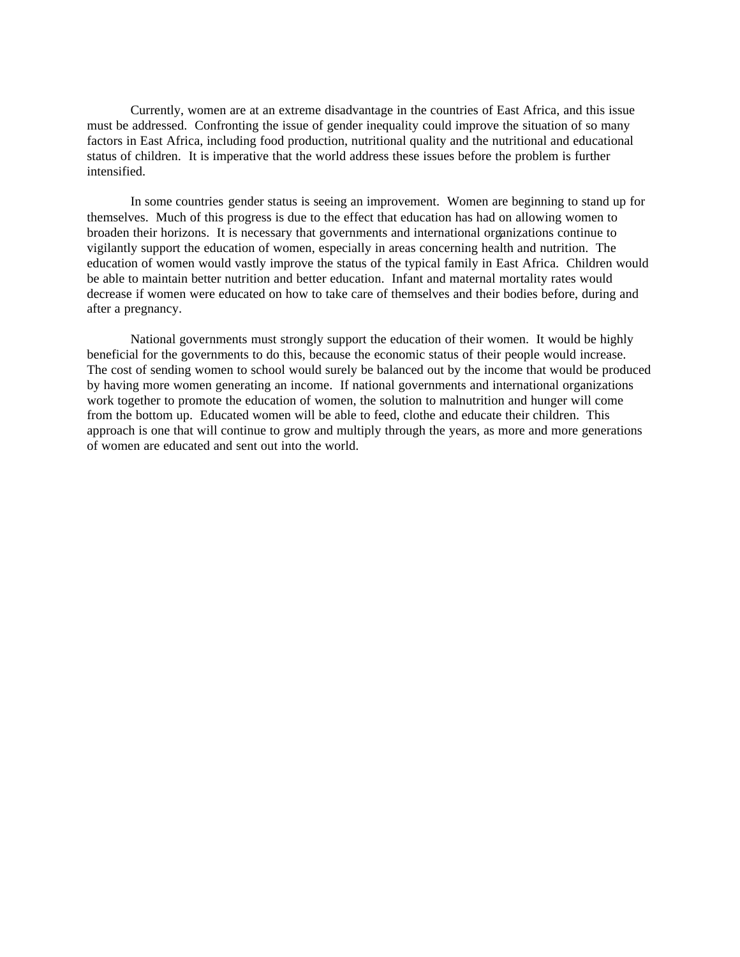Currently, women are at an extreme disadvantage in the countries of East Africa, and this issue must be addressed. Confronting the issue of gender inequality could improve the situation of so many factors in East Africa, including food production, nutritional quality and the nutritional and educational status of children. It is imperative that the world address these issues before the problem is further intensified.

In some countries gender status is seeing an improvement. Women are beginning to stand up for themselves. Much of this progress is due to the effect that education has had on allowing women to broaden their horizons. It is necessary that governments and international organizations continue to vigilantly support the education of women, especially in areas concerning health and nutrition. The education of women would vastly improve the status of the typical family in East Africa. Children would be able to maintain better nutrition and better education. Infant and maternal mortality rates would decrease if women were educated on how to take care of themselves and their bodies before, during and after a pregnancy.

National governments must strongly support the education of their women. It would be highly beneficial for the governments to do this, because the economic status of their people would increase. The cost of sending women to school would surely be balanced out by the income that would be produced by having more women generating an income. If national governments and international organizations work together to promote the education of women, the solution to malnutrition and hunger will come from the bottom up. Educated women will be able to feed, clothe and educate their children. This approach is one that will continue to grow and multiply through the years, as more and more generations of women are educated and sent out into the world.